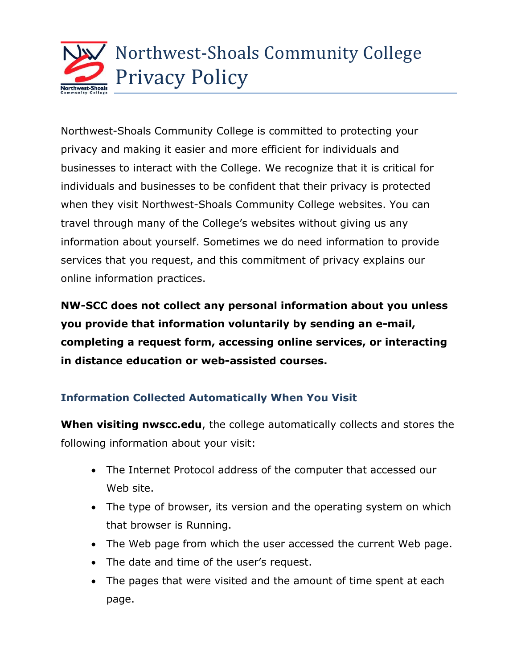

Northwest-Shoals Community College is committed to protecting your privacy and making it easier and more efficient for individuals and businesses to interact with the College. We recognize that it is critical for individuals and businesses to be confident that their privacy is protected when they visit Northwest-Shoals Community College websites. You can travel through many of the College's websites without giving us any information about yourself. Sometimes we do need information to provide services that you request, and this commitment of privacy explains our online information practices.

**NW-SCC does not collect any personal information about you unless you provide that information voluntarily by sending an e-mail, completing a request form, accessing online services, or interacting in distance education or web-assisted courses.**

# **Information Collected Automatically When You Visit**

**When visiting nwscc.edu**, the college automatically collects and stores the following information about your visit:

- The Internet Protocol address of the computer that accessed our Web site.
- The type of browser, its version and the operating system on which that browser is Running.
- The Web page from which the user accessed the current Web page.
- The date and time of the user's request.
- The pages that were visited and the amount of time spent at each page.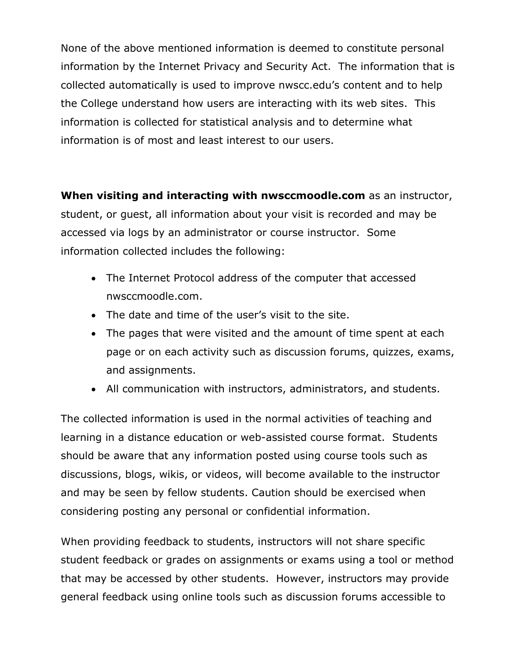None of the above mentioned information is deemed to constitute personal information by the Internet Privacy and Security Act. The information that is collected automatically is used to improve nwscc.edu's content and to help the College understand how users are interacting with its web sites. This information is collected for statistical analysis and to determine what information is of most and least interest to our users.

**When visiting and interacting with nwsccmoodle.com** as an instructor, student, or guest, all information about your visit is recorded and may be accessed via logs by an administrator or course instructor. Some information collected includes the following:

- The Internet Protocol address of the computer that accessed nwsccmoodle.com.
- The date and time of the user's visit to the site.
- The pages that were visited and the amount of time spent at each page or on each activity such as discussion forums, quizzes, exams, and assignments.
- All communication with instructors, administrators, and students.

The collected information is used in the normal activities of teaching and learning in a distance education or web-assisted course format. Students should be aware that any information posted using course tools such as discussions, blogs, wikis, or videos, will become available to the instructor and may be seen by fellow students. Caution should be exercised when considering posting any personal or confidential information.

When providing feedback to students, instructors will not share specific student feedback or grades on assignments or exams using a tool or method that may be accessed by other students. However, instructors may provide general feedback using online tools such as discussion forums accessible to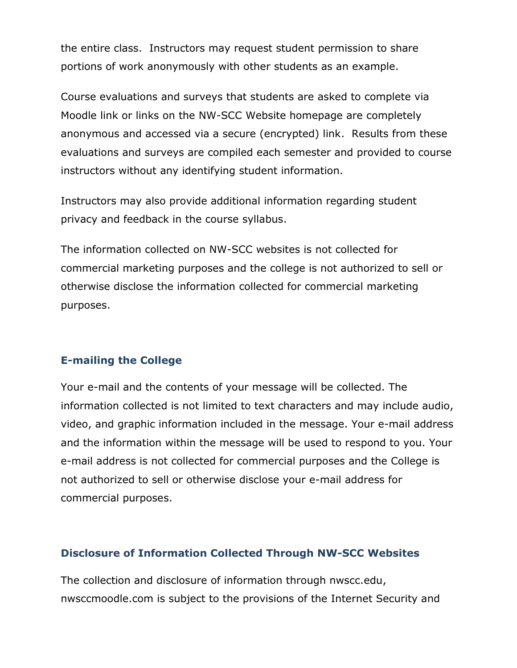the entire class. Instructors may request student permission to share portions of work anonymously with other students as an example.

Course evaluations and surveys that students are asked to complete via Moodle link or links on the NW-SCC Website homepage are completely anonymous and accessed via a secure (encrypted) link. Results from these evaluations and surveys are compiled each semester and provided to course instructors without any identifying student information.

Instructors may also provide additional information regarding student privacy and feedback in the course syllabus.

The information collected on NW-SCC websites is not collected for commercial marketing purposes and the college is not authorized to sell or otherwise disclose the information collected for commercial marketing purposes.

# **E-mailing the College**

Your e-mail and the contents of your message will be collected. The information collected is not limited to text characters and may include audio, video, and graphic information included in the message. Your e-mail address and the information within the message will be used to respond to you. Your e-mail address is not collected for commercial purposes and the College is not authorized to sell or otherwise disclose your e-mail address for commercial purposes.

### **Disclosure of Information Collected Through NW-SCC Websites**

The collection and disclosure of information through nwscc.edu, nwsccmoodle.com is subject to the provisions of the Internet Security and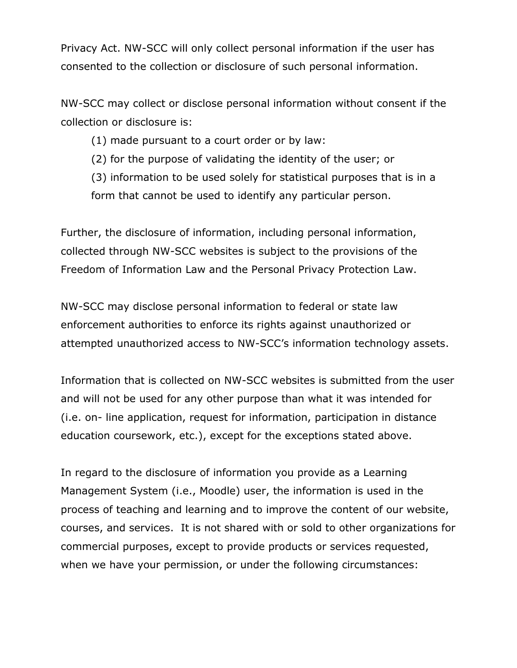Privacy Act. NW-SCC will only collect personal information if the user has consented to the collection or disclosure of such personal information.

NW-SCC may collect or disclose personal information without consent if the collection or disclosure is:

(1) made pursuant to a court order or by law:

(2) for the purpose of validating the identity of the user; or

(3) information to be used solely for statistical purposes that is in a form that cannot be used to identify any particular person.

Further, the disclosure of information, including personal information, collected through NW-SCC websites is subject to the provisions of the Freedom of Information Law and the Personal Privacy Protection Law.

NW-SCC may disclose personal information to federal or state law enforcement authorities to enforce its rights against unauthorized or attempted unauthorized access to NW-SCC's information technology assets.

Information that is collected on NW-SCC websites is submitted from the user and will not be used for any other purpose than what it was intended for (i.e. on- line application, request for information, participation in distance education coursework, etc.), except for the exceptions stated above.

In regard to the disclosure of information you provide as a Learning Management System (i.e., Moodle) user, the information is used in the process of teaching and learning and to improve the content of our website, courses, and services. It is not shared with or sold to other organizations for commercial purposes, except to provide products or services requested, when we have your permission, or under the following circumstances: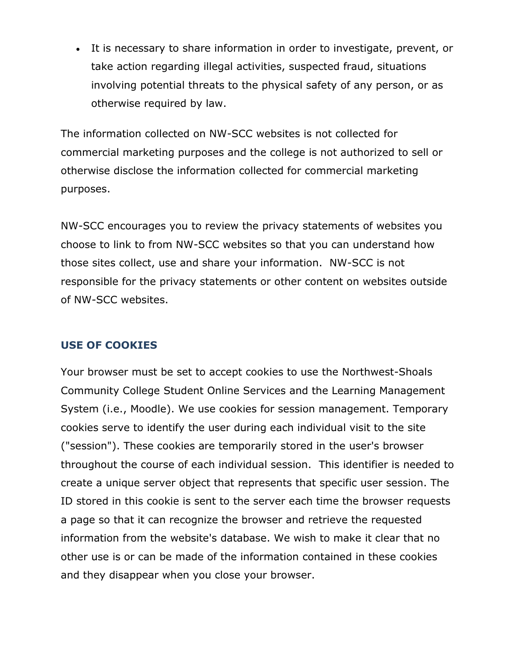It is necessary to share information in order to investigate, prevent, or take action regarding illegal activities, suspected fraud, situations involving potential threats to the physical safety of any person, or as otherwise required by law.

The information collected on NW-SCC websites is not collected for commercial marketing purposes and the college is not authorized to sell or otherwise disclose the information collected for commercial marketing purposes.

NW-SCC encourages you to review the privacy statements of websites you choose to link to from NW-SCC websites so that you can understand how those sites collect, use and share your information. NW-SCC is not responsible for the privacy statements or other content on websites outside of NW-SCC websites.

### **USE OF COOKIES**

Your browser must be set to accept cookies to use the Northwest-Shoals Community College Student Online Services and the Learning Management System (i.e., Moodle). We use cookies for session management. Temporary cookies serve to identify the user during each individual visit to the site ("session"). These cookies are temporarily stored in the user's browser throughout the course of each individual session. This identifier is needed to create a unique server object that represents that specific user session. The ID stored in this cookie is sent to the server each time the browser requests a page so that it can recognize the browser and retrieve the requested information from the website's database. We wish to make it clear that no other use is or can be made of the information contained in these cookies and they disappear when you close your browser.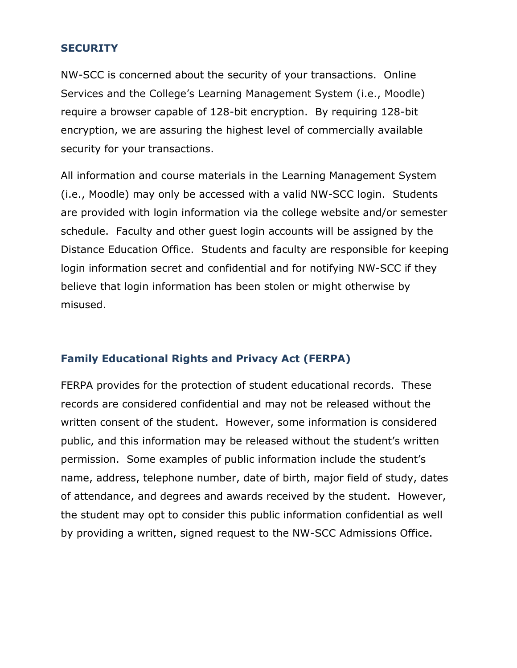### **SECURITY**

NW-SCC is concerned about the security of your transactions. Online Services and the College's Learning Management System (i.e., Moodle) require a browser capable of 128-bit encryption. By requiring 128-bit encryption, we are assuring the highest level of commercially available security for your transactions.

All information and course materials in the Learning Management System (i.e., Moodle) may only be accessed with a valid NW-SCC login. Students are provided with login information via the college website and/or semester schedule. Faculty and other guest login accounts will be assigned by the Distance Education Office. Students and faculty are responsible for keeping login information secret and confidential and for notifying NW-SCC if they believe that login information has been stolen or might otherwise by misused.

# **Family Educational Rights and Privacy Act (FERPA)**

FERPA provides for the protection of student educational records. These records are considered confidential and may not be released without the written consent of the student. However, some information is considered public, and this information may be released without the student's written permission. Some examples of public information include the student's name, address, telephone number, date of birth, major field of study, dates of attendance, and degrees and awards received by the student. However, the student may opt to consider this public information confidential as well by providing a written, signed request to the NW-SCC Admissions Office.